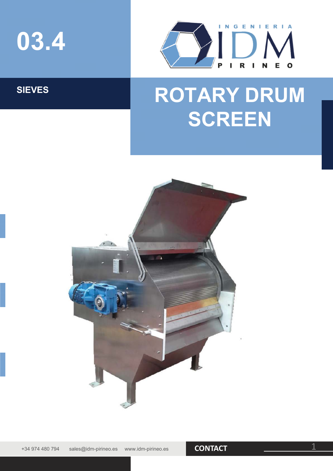



## SIEVES **ROTARY DRUM SCREEN**



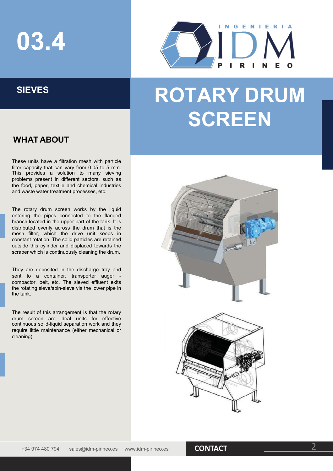# **03.4**



## SIEVES | **ROTARY DRUM SCREEN**

### **WHAT ABOUT**

These units have a filtration mesh with particle filter capacity that can vary from 0.05 to 5 mm. This provides a solution to many sieving problems present in different sectors, such as the food, paper, textile and chemical industries and waste water treatment processes, etc.

The rotary drum screen works by the liquid entering the pipes connected to the flanged branch located in the upper part of the tank. It is distributed evenly across the drum that is the mesh filter, which the drive unit keeps in constant rotation. The solid particles are retained outside this cylinder and displaced towards the scraper which is continuously cleaning the drum.

They are deposited in the discharge tray and sent to a container, transporter auger compactor, belt, etc. The sieved effluent exits the rotating sieve/spin-sieve via the lower pipe in the tank.

The result of this arrangement is that the rotary drum screen are ideal units for effective continuous solid-liquid separation work and they require little maintenance (either mechanical or cleaning).